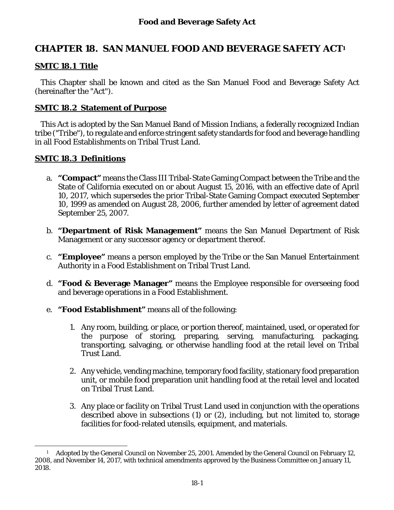# **CHAPTER 18. SAN MANUEL FOOD AND BEVERAGE SAFETY ACT1**

#### **SMTC 18.1 Title**

This Chapter shall be known and cited as the San Manuel Food and Beverage Safety Act (hereinafter the "Act").

#### **SMTC 18.2 Statement of Purpose**

This Act is adopted by the San Manuel Band of Mission Indians, a federally recognized Indian tribe ("Tribe"), to regulate and enforce stringent safety standards for food and beverage handling in all Food Establishments on Tribal Trust Land.

#### **SMTC 18.3 Definitions**

l

- a. **"Compact"** means the Class III Tribal-State Gaming Compact between the Tribe and the State of California executed on or about August 15, 2016, with an effective date of April 10, 2017, which supersedes the prior Tribal-State Gaming Compact executed September 10, 1999 as amended on August 28, 2006, further amended by letter of agreement dated September 25, 2007.
- b. **"Department of Risk Management"** means the San Manuel Department of Risk Management or any successor agency or department thereof.
- c. **"Employee"** means a person employed by the Tribe or the San Manuel Entertainment Authority in a Food Establishment on Tribal Trust Land.
- d. **"Food & Beverage Manager"** means the Employee responsible for overseeing food and beverage operations in a Food Establishment.
- e. **"Food Establishment"** means all of the following:
	- 1. Any room, building, or place, or portion thereof, maintained, used, or operated for the purpose of storing, preparing, serving, manufacturing, packaging, transporting, salvaging, or otherwise handling food at the retail level on Tribal Trust Land.
	- 2. Any vehicle, vending machine, temporary food facility, stationary food preparation unit, or mobile food preparation unit handling food at the retail level and located on Tribal Trust Land.
	- 3. Any place or facility on Tribal Trust Land used in conjunction with the operations described above in subsections (1) or (2), including, but not limited to, storage facilities for food-related utensils, equipment, and materials.

<sup>1</sup> Adopted by the General Council on November 25, 2001. Amended by the General Council on February 12, 2008, and November 14, 2017, with technical amendments approved by the Business Committee on January 11, 2018.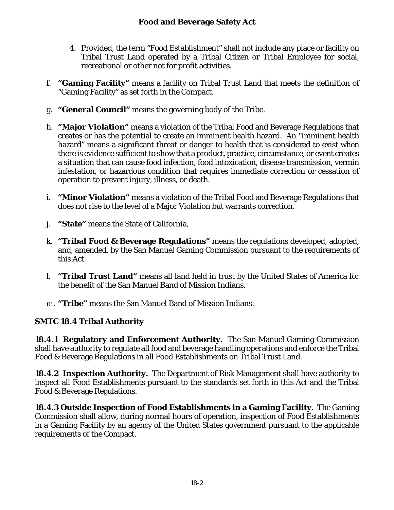- 4. Provided, the term "Food Establishment" shall not include any place or facility on Tribal Trust Land operated by a Tribal Citizen or Tribal Employee for social, recreational or other not for profit activities.
- f. **"Gaming Facility"** means a facility on Tribal Trust Land that meets the definition of "Gaming Facility" as set forth in the Compact.
- g. **"General Council"** means the governing body of the Tribe.
- h. **"Major Violation"** means a violation of the Tribal Food and Beverage Regulations that creates or has the potential to create an imminent health hazard. An "imminent health hazard" means a significant threat or danger to health that is considered to exist when there is evidence sufficient to show that a product, practice, circumstance, or event creates a situation that can cause food infection, food intoxication, disease transmission, vermin infestation, or hazardous condition that requires immediate correction or cessation of operation to prevent injury, illness, or death.
- i. **"Minor Violation"** means a violation of the Tribal Food and Beverage Regulations that does not rise to the level of a Major Violation but warrants correction.
- j. **"State"** means the State of California.
- k. **"Tribal Food & Beverage Regulations"** means the regulations developed, adopted, and, amended, by the San Manuel Gaming Commission pursuant to the requirements of this Act.
- l. **"Tribal Trust Land"** means all land held in trust by the United States of America for the benefit of the San Manuel Band of Mission Indians.
- m. **"Tribe"** means the San Manuel Band of Mission Indians.

## **SMTC 18.4 Tribal Authority**

**18.4.1 Regulatory and Enforcement Authority.** The San Manuel Gaming Commission shall have authority to regulate all food and beverage handling operations and enforce the Tribal Food & Beverage Regulations in all Food Establishments on Tribal Trust Land.

**18.4.2 Inspection Authority.** The Department of Risk Management shall have authority to inspect all Food Establishments pursuant to the standards set forth in this Act and the Tribal Food & Beverage Regulations.

**18.4.3 Outside Inspection of Food Establishments in a Gaming Facility.** The Gaming Commission shall allow, during normal hours of operation, inspection of Food Establishments in a Gaming Facility by an agency of the United States government pursuant to the applicable requirements of the Compact.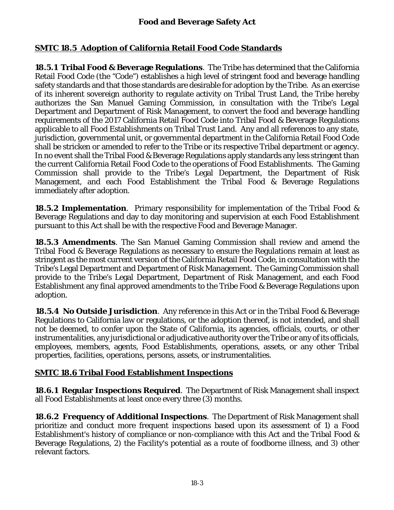### **SMTC 18.5 Adoption of California Retail Food Code Standards**

**18.5.1 Tribal Food & Beverage Regulations**. The Tribe has determined that the California Retail Food Code (the "Code") establishes a high level of stringent food and beverage handling safety standards and that those standards are desirable for adoption by the Tribe. As an exercise of its inherent sovereign authority to regulate activity on Tribal Trust Land, the Tribe hereby authorizes the San Manuel Gaming Commission, in consultation with the Tribe's Legal Department and Department of Risk Management, to convert the food and beverage handling requirements of the 2017 California Retail Food Code into Tribal Food & Beverage Regulations applicable to all Food Establishments on Tribal Trust Land. Any and all references to any state, jurisdiction, governmental unit, or governmental department in the California Retail Food Code shall be stricken or amended to refer to the Tribe or its respective Tribal department or agency. In no event shall the Tribal Food & Beverage Regulations apply standards any less stringent than the current California Retail Food Code to the operations of Food Establishments. The Gaming Commission shall provide to the Tribe's Legal Department, the Department of Risk Management, and each Food Establishment the Tribal Food & Beverage Regulations immediately after adoption.

**18.5.2 Implementation**. Primary responsibility for implementation of the Tribal Food & Beverage Regulations and day to day monitoring and supervision at each Food Establishment pursuant to this Act shall be with the respective Food and Beverage Manager.

**18.5.3 Amendments**. The San Manuel Gaming Commission shall review and amend the Tribal Food & Beverage Regulations as necessary to ensure the Regulations remain at least as stringent as the most current version of the California Retail Food Code, in consultation with the Tribe's Legal Department and Department of Risk Management. The Gaming Commission shall provide to the Tribe's Legal Department, Department of Risk Management, and each Food Establishment any final approved amendments to the Tribe Food & Beverage Regulations upon adoption.

**18.5.4 No Outside Jurisdiction**. Any reference in this Act or in the Tribal Food & Beverage Regulations to California law or regulations, or the adoption thereof, is not intended, and shall not be deemed, to confer upon the State of California, its agencies, officials, courts, or other instrumentalities, any jurisdictional or adjudicative authority over the Tribe or any of its officials, employees, members, agents, Food Establishments, operations, assets, or any other Tribal properties, facilities, operations, persons, assets, or instrumentalities.

### **SMTC 18.6 Tribal Food Establishment Inspections**

**18.6.1 Regular Inspections Required**. The Department of Risk Management shall inspect all Food Establishments at least once every three (3) months.

**18.6.2 Frequency of Additional Inspections**. The Department of Risk Management shall prioritize and conduct more frequent inspections based upon its assessment of 1) a Food Establishment's history of compliance or non-compliance with this Act and the Tribal Food & Beverage Regulations, 2) the Facility's potential as a route of foodborne illness, and 3) other relevant factors.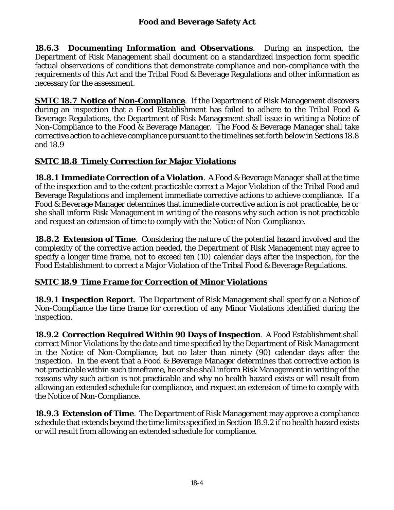**18.6.3 Documenting Information and Observations**.During an inspection, the Department of Risk Management shall document on a standardized inspection form specific factual observations of conditions that demonstrate compliance and non-compliance with the requirements of this Act and the Tribal Food & Beverage Regulations and other information as necessary for the assessment.

**SMTC 18.7 Notice of Non-Compliance**. If the Department of Risk Management discovers during an inspection that a Food Establishment has failed to adhere to the Tribal Food & Beverage Regulations, the Department of Risk Management shall issue in writing a Notice of Non-Compliance to the Food & Beverage Manager. The Food & Beverage Manager shall take corrective action to achieve compliance pursuant to the timelines set forth below in Sections 18.8 and 18.9

## **SMTC 18.8 Timely Correction for Major Violations**

**18.8.1 Immediate Correction of a Violation**. A Food & Beverage Manager shall at the time of the inspection and to the extent practicable correct a Major Violation of the Tribal Food and Beverage Regulations and implement immediate corrective actions to achieve compliance. If a Food & Beverage Manager determines that immediate corrective action is not practicable, he or she shall inform Risk Management in writing of the reasons why such action is not practicable and request an extension of time to comply with the Notice of Non-Compliance.

**18.8.2 Extension of Time**. Considering the nature of the potential hazard involved and the complexity of the corrective action needed, the Department of Risk Management may agree to specify a longer time frame, not to exceed ten (10) calendar days after the inspection, for the Food Establishment to correct a Major Violation of the Tribal Food & Beverage Regulations.

### **SMTC 18.9 Time Frame for Correction of Minor Violations**

**18.9.1 Inspection Report**. The Department of Risk Management shall specify on a Notice of Non-Compliance the time frame for correction of any Minor Violations identified during the inspection.

**18.9.2 Correction Required Within 90 Days of Inspection**. A Food Establishment shall correct Minor Violations by the date and time specified by the Department of Risk Management in the Notice of Non-Compliance, but no later than ninety (90) calendar days after the inspection. In the event that a Food & Beverage Manager determines that corrective action is not practicable within such timeframe, he or she shall inform Risk Management in writing of the reasons why such action is not practicable and why no health hazard exists or will result from allowing an extended schedule for compliance, and request an extension of time to comply with the Notice of Non-Compliance.

**18.9.3 Extension of Time**. The Department of Risk Management may approve a compliance schedule that extends beyond the time limits specified in Section 18.9.2 if no health hazard exists or will result from allowing an extended schedule for compliance.